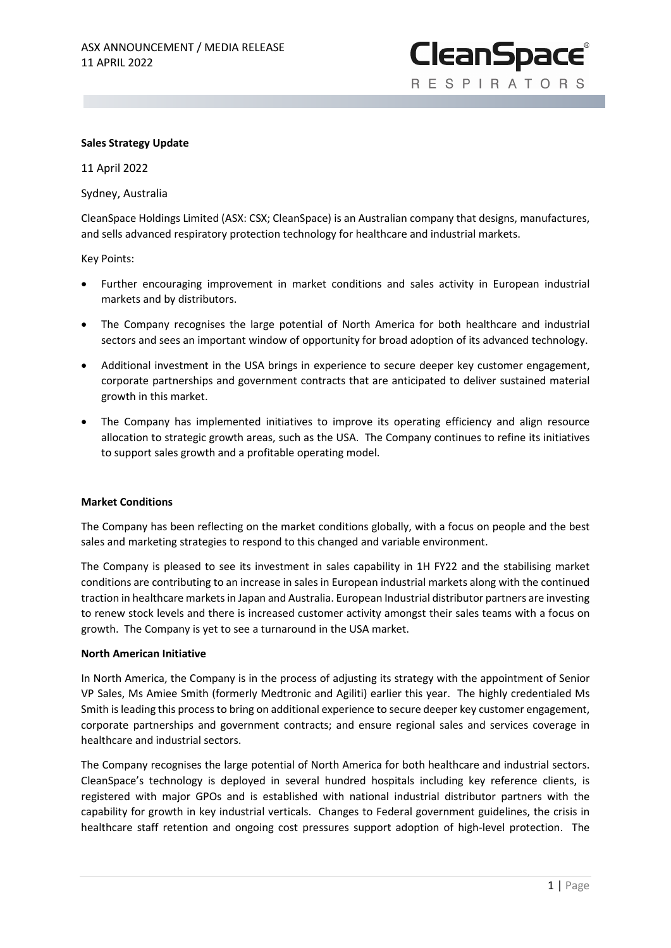**CleanSpace® RESPIRATORS** 

### **Sales Strategy Update**

11 April 2022

Sydney, Australia

CleanSpace Holdings Limited (ASX: CSX; CleanSpace) is an Australian company that designs, manufactures, and sells advanced respiratory protection technology for healthcare and industrial markets.

Key Points:

- Further encouraging improvement in market conditions and sales activity in European industrial markets and by distributors.
- The Company recognises the large potential of North America for both healthcare and industrial sectors and sees an important window of opportunity for broad adoption of its advanced technology.
- Additional investment in the USA brings in experience to secure deeper key customer engagement, corporate partnerships and government contracts that are anticipated to deliver sustained material growth in this market.
- The Company has implemented initiatives to improve its operating efficiency and align resource allocation to strategic growth areas, such as the USA. The Company continues to refine its initiatives to support sales growth and a profitable operating model.

#### **Market Conditions**

The Company has been reflecting on the market conditions globally, with a focus on people and the best sales and marketing strategies to respond to this changed and variable environment.

The Company is pleased to see its investment in sales capability in 1H FY22 and the stabilising market conditions are contributing to an increase in sales in European industrial markets along with the continued traction in healthcare markets in Japan and Australia. European Industrial distributor partners are investing to renew stock levels and there is increased customer activity amongst their sales teams with a focus on growth. The Company is yet to see a turnaround in the USA market.

#### **North American Initiative**

In North America, the Company is in the process of adjusting its strategy with the appointment of Senior VP Sales, Ms Amiee Smith (formerly Medtronic and Agiliti) earlier this year. The highly credentialed Ms Smith is leading this process to bring on additional experience to secure deeper key customer engagement, corporate partnerships and government contracts; and ensure regional sales and services coverage in healthcare and industrial sectors.

The Company recognises the large potential of North America for both healthcare and industrial sectors. CleanSpace's technology is deployed in several hundred hospitals including key reference clients, is registered with major GPOs and is established with national industrial distributor partners with the capability for growth in key industrial verticals. Changes to Federal government guidelines, the crisis in healthcare staff retention and ongoing cost pressures support adoption of high-level protection. The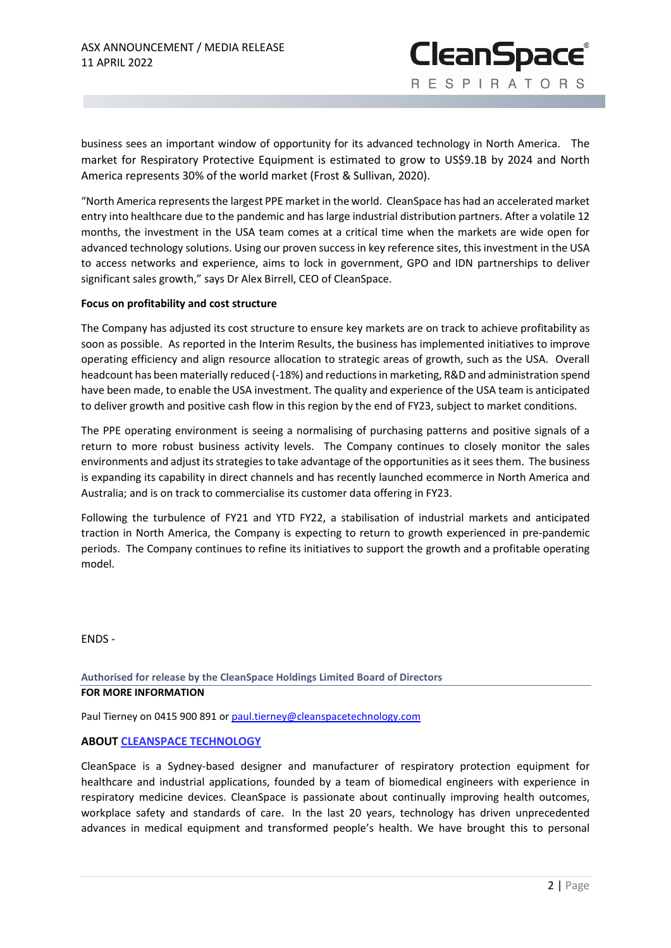business sees an important window of opportunity for its advanced technology in North America. The market for Respiratory Protective Equipment is estimated to grow to US\$9.1B by 2024 and North America represents 30% of the world market (Frost & Sullivan, 2020).

**CleanSpace®** 

RESPIRATORS

"North America represents the largest PPE market in the world. CleanSpace has had an accelerated market entry into healthcare due to the pandemic and has large industrial distribution partners. After a volatile 12 months, the investment in the USA team comes at a critical time when the markets are wide open for advanced technology solutions. Using our proven success in key reference sites, this investment in the USA to access networks and experience, aims to lock in government, GPO and IDN partnerships to deliver significant sales growth," says Dr Alex Birrell, CEO of CleanSpace.

## **Focus on profitability and cost structure**

The Company has adjusted its cost structure to ensure key markets are on track to achieve profitability as soon as possible. As reported in the Interim Results, the business has implemented initiatives to improve operating efficiency and align resource allocation to strategic areas of growth, such as the USA. Overall headcount has been materially reduced (-18%) and reductions in marketing, R&D and administration spend have been made, to enable the USA investment. The quality and experience of the USA team is anticipated to deliver growth and positive cash flow in this region by the end of FY23, subject to market conditions.

The PPE operating environment is seeing a normalising of purchasing patterns and positive signals of a return to more robust business activity levels. The Company continues to closely monitor the sales environments and adjust its strategies to take advantage of the opportunities as it sees them. The business is expanding its capability in direct channels and has recently launched ecommerce in North America and Australia; and is on track to commercialise its customer data offering in FY23.

Following the turbulence of FY21 and YTD FY22, a stabilisation of industrial markets and anticipated traction in North America, the Company is expecting to return to growth experienced in pre-pandemic periods. The Company continues to refine its initiatives to support the growth and a profitable operating model.

ENDS -

**Authorised for release by the CleanSpace Holdings Limited Board of Directors FOR MORE INFORMATION**

Paul Tierney on 0415 900 891 o[r paul.tierney@cleanspacetechnology.com](mailto:paul.tierney@cleanspacetechnology.com.)

# **ABOUT [CLEANSPACE TECHNOLOGY](https://cleanspacetechnology.com/)**

CleanSpace is a Sydney-based designer and manufacturer of respiratory protection equipment for healthcare and industrial applications, founded by a team of biomedical engineers with experience in respiratory medicine devices. CleanSpace is passionate about continually improving health outcomes, workplace safety and standards of care. In the last 20 years, technology has driven unprecedented advances in medical equipment and transformed people's health. We have brought this to personal